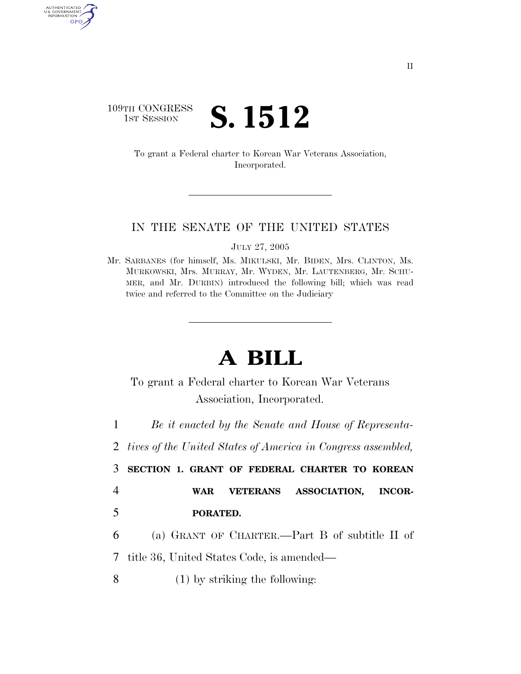# 109TH CONGRESS **1ST SESSION S. 1512**

AUTHENTICATED<br>U.S. GOVERNMENT<br>INFORMATION GPO

> To grant a Federal charter to Korean War Veterans Association, Incorporated.

#### IN THE SENATE OF THE UNITED STATES

JULY 27, 2005

Mr. SARBANES (for himself, Ms. MIKULSKI, Mr. BIDEN, Mrs. CLINTON, Ms. MURKOWSKI, Mrs. MURRAY, Mr. WYDEN, Mr. LAUTENBERG, Mr. SCHU-MER, and Mr. DURBIN) introduced the following bill; which was read twice and referred to the Committee on the Judiciary

# **A BILL**

To grant a Federal charter to Korean War Veterans Association, Incorporated.

1 *Be it enacted by the Senate and House of Representa-*

2 *tives of the United States of America in Congress assembled,* 

3 **SECTION 1. GRANT OF FEDERAL CHARTER TO KOREAN**  4 **WAR VETERANS ASSOCIATION, INCOR-**

5 **PORATED.** 

6 (a) GRANT OF CHARTER.—Part B of subtitle II of

7 title 36, United States Code, is amended—

8 (1) by striking the following: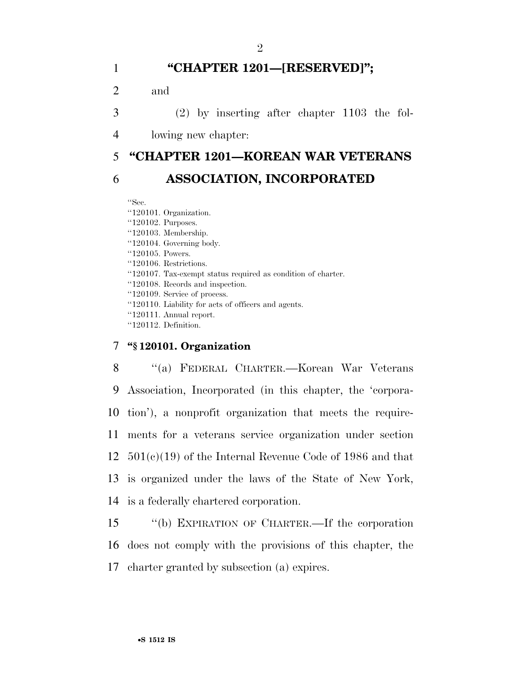# 1 **''CHAPTER 1201—[RESERVED]'';**

2 and

3 (2) by inserting after chapter 1103 the fol-

4 lowing new chapter:

# 5 **''CHAPTER 1201—KOREAN WAR VETERANS**  6 **ASSOCIATION, INCORPORATED**

''Sec.

''120101. Organization. ''120102. Purposes. ''120103. Membership. ''120104. Governing body. ''120105. Powers. ''120106. Restrictions. ''120107. Tax-exempt status required as condition of charter. ''120108. Records and inspection. ''120109. Service of process. ''120110. Liability for acts of officers and agents. ''120111. Annual report. ''120112. Definition.

## 7 **''§ 120101. Organization**

 ''(a) FEDERAL CHARTER.—Korean War Veterans Association, Incorporated (in this chapter, the 'corpora- tion'), a nonprofit organization that meets the require- ments for a veterans service organization under section 501(c)(19) of the Internal Revenue Code of 1986 and that is organized under the laws of the State of New York, is a federally chartered corporation.

15 ''(b) EXPIRATION OF CHARTER.—If the corporation 16 does not comply with the provisions of this chapter, the 17 charter granted by subsection (a) expires.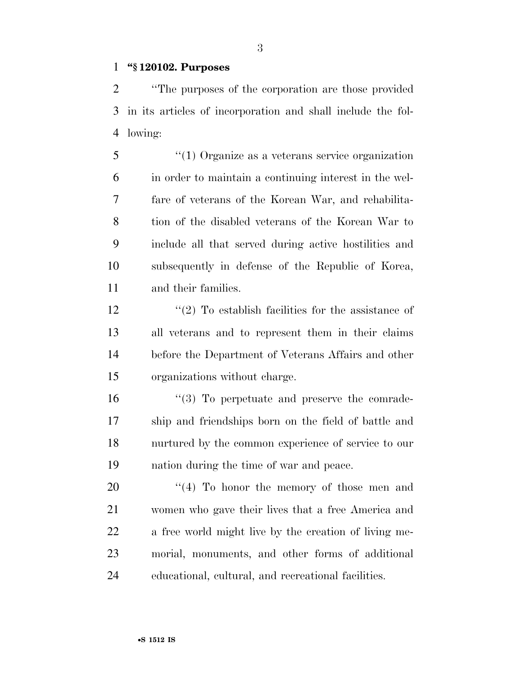#### **''§ 120102. Purposes**

 ''The purposes of the corporation are those provided in its articles of incorporation and shall include the fol-lowing:

 ''(1) Organize as a veterans service organization in order to maintain a continuing interest in the wel- fare of veterans of the Korean War, and rehabilita- tion of the disabled veterans of the Korean War to include all that served during active hostilities and subsequently in defense of the Republic of Korea, and their families.

 $\frac{1}{2}$  To establish facilities for the assistance of all veterans and to represent them in their claims before the Department of Veterans Affairs and other organizations without charge.

 $\frac{16}{3}$  To perpetuate and preserve the comrade- ship and friendships born on the field of battle and nurtured by the common experience of service to our nation during the time of war and peace.

 $\frac{1}{4}$  To honor the memory of those men and women who gave their lives that a free America and a free world might live by the creation of living me- morial, monuments, and other forms of additional educational, cultural, and recreational facilities.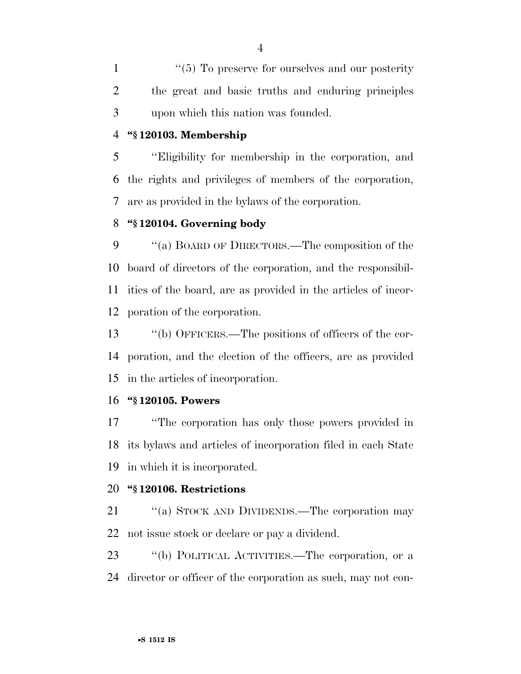1 ''(5) To preserve for ourselves and our posterity the great and basic truths and enduring principles upon which this nation was founded.

#### **''§ 120103. Membership**

 ''Eligibility for membership in the corporation, and the rights and privileges of members of the corporation, are as provided in the bylaws of the corporation.

#### **''§ 120104. Governing body**

 $\cdot$  "(a) BOARD OF DIRECTORS.—The composition of the board of directors of the corporation, and the responsibil- ities of the board, are as provided in the articles of incor-poration of the corporation.

 ''(b) OFFICERS.—The positions of officers of the cor- poration, and the election of the officers, are as provided in the articles of incorporation.

#### **''§ 120105. Powers**

 ''The corporation has only those powers provided in its bylaws and articles of incorporation filed in each State in which it is incorporated.

#### **''§ 120106. Restrictions**

21 "(a) STOCK AND DIVIDENDS.—The corporation may not issue stock or declare or pay a dividend.

 ''(b) POLITICAL ACTIVITIES.—The corporation, or a director or officer of the corporation as such, may not con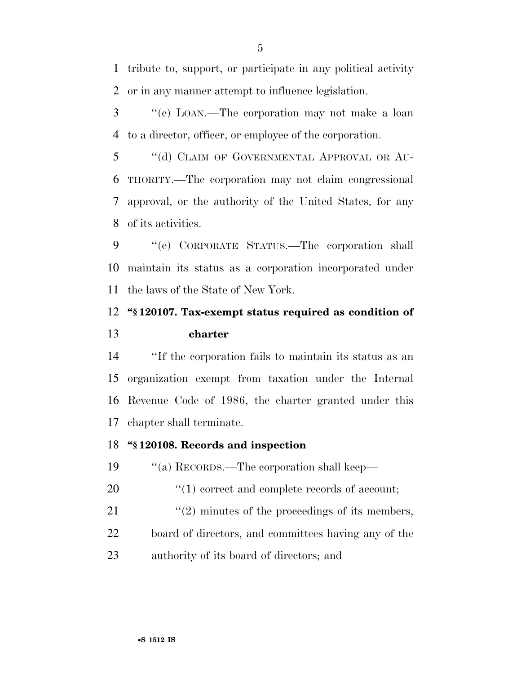tribute to, support, or participate in any political activity or in any manner attempt to influence legislation.

 ''(c) LOAN.—The corporation may not make a loan to a director, officer, or employee of the corporation.

5 "(d) CLAIM OF GOVERNMENTAL APPROVAL OR AU- THORITY.—The corporation may not claim congressional approval, or the authority of the United States, for any of its activities.

 ''(e) CORPORATE STATUS.—The corporation shall maintain its status as a corporation incorporated under the laws of the State of New York.

# **''§ 120107. Tax-exempt status required as condition of charter**

 ''If the corporation fails to maintain its status as an organization exempt from taxation under the Internal Revenue Code of 1986, the charter granted under this chapter shall terminate.

## **''§ 120108. Records and inspection**

''(a) RECORDS.—The corporation shall keep—

20  $\frac{1}{20}$  (1) correct and complete records of account;

21  $\frac{1}{2}$  minutes of the proceedings of its members, board of directors, and committees having any of the authority of its board of directors; and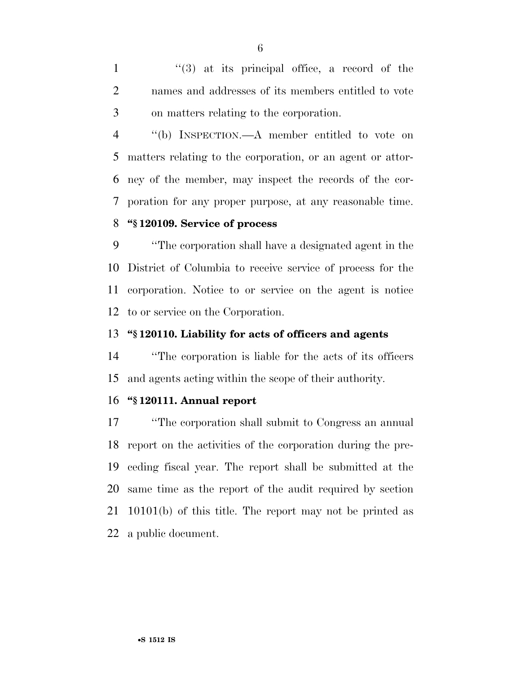1 ''(3) at its principal office, a record of the names and addresses of its members entitled to vote on matters relating to the corporation.

 ''(b) INSPECTION.—A member entitled to vote on matters relating to the corporation, or an agent or attor- ney of the member, may inspect the records of the cor-poration for any proper purpose, at any reasonable time.

# **''§ 120109. Service of process**

 ''The corporation shall have a designated agent in the District of Columbia to receive service of process for the corporation. Notice to or service on the agent is notice to or service on the Corporation.

#### **''§ 120110. Liability for acts of officers and agents**

 ''The corporation is liable for the acts of its officers and agents acting within the scope of their authority.

#### **''§ 120111. Annual report**

 ''The corporation shall submit to Congress an annual report on the activities of the corporation during the pre- ceding fiscal year. The report shall be submitted at the same time as the report of the audit required by section 10101(b) of this title. The report may not be printed as a public document.